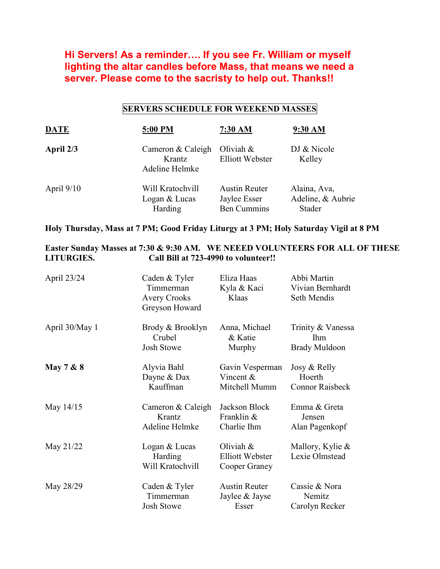## Hi Servers! As a reminder…. If you see Fr. William or myself lighting the altar candles before Mass, that means we need a server. Please come to the sacristy to help out. Thanks!!

#### SERVERS SCHEDULE FOR WEEKEND MASSES

| <b>DATE</b>  | 5:00 PM                                       | 7:30 AM                                                    | 9:30 AM                                     |
|--------------|-----------------------------------------------|------------------------------------------------------------|---------------------------------------------|
| April 2/3    | Cameron & Caleigh<br>Krantz<br>Adeline Helmke | Oliviah $\&$<br><b>Elliott Webster</b>                     | DJ & Nicole<br>Kelley                       |
| April $9/10$ | Will Kratochvill<br>Logan & Lucas<br>Harding  | <b>Austin Reuter</b><br>Jaylee Esser<br><b>Ben Cummins</b> | Alaina, Ava,<br>Adeline, & Aubrie<br>Stader |

#### Holy Thursday, Mass at 7 PM; Good Friday Liturgy at 3 PM; Holy Saturday Vigil at 8 PM

### Easter Sunday Masses at 7:30 & 9:30 AM. WE NEEED VOLUNTEERS FOR ALL OF THESE<br>LITURGIES. Call Bill at 723-4990 to volunteer!! Call Bill at 723-4990 to volunteer!!

| April 23/24          | Caden & Tyler<br>Timmerman<br><b>Avery Crooks</b><br>Greyson Howard | Eliza Haas<br>Kyla & Kaci<br>Klaas                   | Abbi Martin<br>Vivian Bernhardt<br>Seth Mendis          |
|----------------------|---------------------------------------------------------------------|------------------------------------------------------|---------------------------------------------------------|
| April 30/May 1       | Brody & Brooklyn<br>Crubel<br>Josh Stowe                            | Anna, Michael<br>& Katie<br>Murphy                   | Trinity & Vanessa<br><b>Ihm</b><br><b>Brady Muldoon</b> |
| <b>May 7 &amp; 8</b> | Alyvia Bahl<br>Dayne & Dax<br>Kauffman                              | Gavin Vesperman<br>Vincent $&$<br>Mitchell Mumm      | Josy & Relly<br>Hoerth<br><b>Connor Raisbeck</b>        |
| May 14/15            | Cameron & Caleigh<br>Krantz<br>Adeline Helmke                       | Jackson Block<br>Franklin &<br>Charlie Ihm           | Emma & Greta<br>Jensen<br>Alan Pagenkopf                |
| May 21/22            | Logan & Lucas<br>Harding<br>Will Kratochvill                        | Oliviah &<br><b>Elliott Webster</b><br>Cooper Graney | Mallory, Kylie &<br>Lexie Olmstead                      |
| May 28/29            | Caden & Tyler<br>Timmerman<br><b>Josh Stowe</b>                     | <b>Austin Reuter</b><br>Jaylee & Jayse<br>Esser      | Cassie & Nora<br>Nemitz<br>Carolyn Recker               |